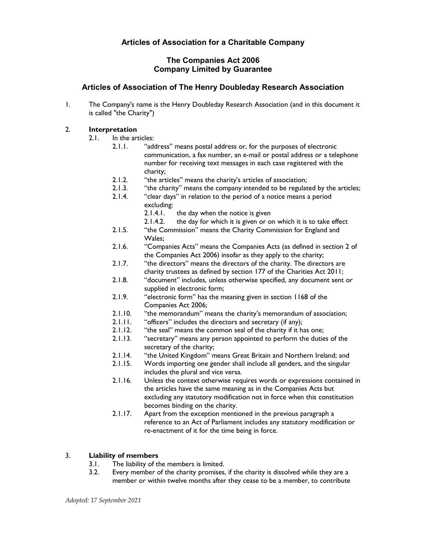# The Companies Act 2006 Company Limited by Guarantee

# Articles of Association of The Henry Doubleday Research Association

1. The Company's name is the Henry Doubleday Research Association (and in this document it is called "the Charity")

# 2. Interpretation

- 2.1. In the articles:
	- 2.1.1. "address" means postal address or, for the purposes of electronic communication, a fax number, an e-mail or postal address or a telephone number for receiving text messages in each case registered with the charity;
	- 2.1.2. "the articles" means the charity's articles of association;
	- 2.1.3. "the charity" means the company intended to be regulated by the articles;<br>2.1.4. "clear days" in relation to the period of a notice means a period
	- "clear days" in relation to the period of a notice means a period excluding:
		- 2.1.4.1. the day when the notice is given
		- 2.1.4.2. the day for which it is given or on which it is to take effect
	- 2.1.5. "the Commission" means the Charity Commission for England and Wales;
	- 2.1.6. "Companies Acts" means the Companies Acts (as defined in section 2 of the Companies Act 2006) insofar as they apply to the charity;
	- 2.1.7. "the directors" means the directors of the charity. The directors are charity trustees as defined by section 177 of the Charities Act 2011;
	- 2.1.8. "document" includes, unless otherwise specified, any document sent or supplied in electronic form;
	- 2.1.9. "electronic form" has the meaning given in section 1168 of the Companies Act 2006;
	- 2.1.10. "the memorandum" means the charity's memorandum of association;<br>2.1.11. "officers" includes the directors and secretary (if any):
	- 2.1.11. "officers" includes the directors and secretary (if any);
	- 2.1.12. "the seal" means the common seal of the charity if it has one;<br>2.1.13. "secretary" means any person appointed to perform the dutie
	- "secretary" means any person appointed to perform the duties of the secretary of the charity;
	- 2.1.14. "the United Kingdom" means Great Britain and Northern Ireland; and
	- 2.1.15. Words importing one gender shall include all genders, and the singular includes the plural and vice versa.
	- 2.1.16. Unless the context otherwise requires words or expressions contained in the articles have the same meaning as in the Companies Acts but excluding any statutory modification not in force when this constitution becomes binding on the charity.
	- 2.1.17. Apart from the exception mentioned in the previous paragraph a reference to an Act of Parliament includes any statutory modification or re-enactment of it for the time being in force.

# 3. Liability of members

- 3.1. The liability of the members is limited.
- 3.2. Every member of the charity promises, if the charity is dissolved while they are a member or within twelve months after they cease to be a member, to contribute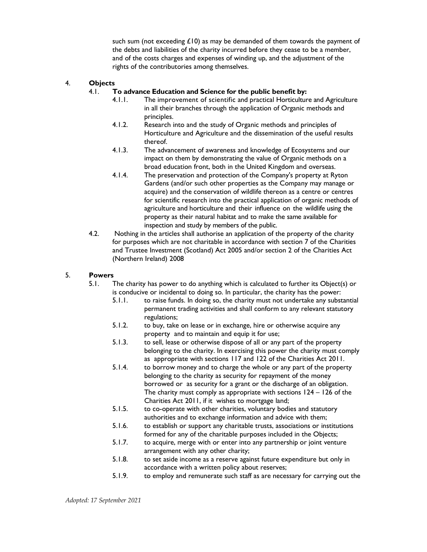such sum (not exceeding  $£10$ ) as may be demanded of them towards the payment of the debts and liabilities of the charity incurred before they cease to be a member, and of the costs charges and expenses of winding up, and the adjustment of the rights of the contributories among themselves.

# 4. Objects

### 4.1. To advance Education and Science for the public benefit by:

- 4.1.1. The improvement of scientific and practical Horticulture and Agriculture in all their branches through the application of Organic methods and principles.
- 4.1.2. Research into and the study of Organic methods and principles of Horticulture and Agriculture and the dissemination of the useful results thereof.
- 4.1.3. The advancement of awareness and knowledge of Ecosystems and our impact on them by demonstrating the value of Organic methods on a broad education front, both in the United Kingdom and overseas.
- 4.1.4. The preservation and protection of the Company's property at Ryton Gardens (and/or such other properties as the Company may manage or acquire) and the conservation of wildlife thereon as a centre or centres for scientific research into the practical application of organic methods of agriculture and horticulture and their influence on the wildlife using the property as their natural habitat and to make the same available for inspection and study by members of the public.
- 4.2. Nothing in the articles shall authorise an application of the property of the charity for purposes which are not charitable in accordance with section 7 of the Charities and Trustee Investment (Scotland) Act 2005 and/or section 2 of the Charities Act (Northern Ireland) 2008

#### 5. Powers

- 5.1. The charity has power to do anything which is calculated to further its Object(s) or is conducive or incidental to doing so. In particular, the charity has the power:
	- 5.1.1. to raise funds. In doing so, the charity must not undertake any substantial permanent trading activities and shall conform to any relevant statutory regulations;
	- 5.1.2. to buy, take on lease or in exchange, hire or otherwise acquire any property and to maintain and equip it for use;
	- 5.1.3. to sell, lease or otherwise dispose of all or any part of the property belonging to the charity. In exercising this power the charity must comply as appropriate with sections 117 and 122 of the Charities Act 2011.
	- 5.1.4. to borrow money and to charge the whole or any part of the property belonging to the charity as security for repayment of the money borrowed or as security for a grant or the discharge of an obligation. The charity must comply as appropriate with sections 124 – 126 of the Charities Act 2011, if it wishes to mortgage land;
	- 5.1.5. to co-operate with other charities, voluntary bodies and statutory authorities and to exchange information and advice with them;
	- 5.1.6. to establish or support any charitable trusts, associations or institutions formed for any of the charitable purposes included in the Objects;
	- 5.1.7. to acquire, merge with or enter into any partnership or joint venture arrangement with any other charity;
	- 5.1.8. to set aside income as a reserve against future expenditure but only in accordance with a written policy about reserves;
	- 5.1.9. to employ and remunerate such staff as are necessary for carrying out the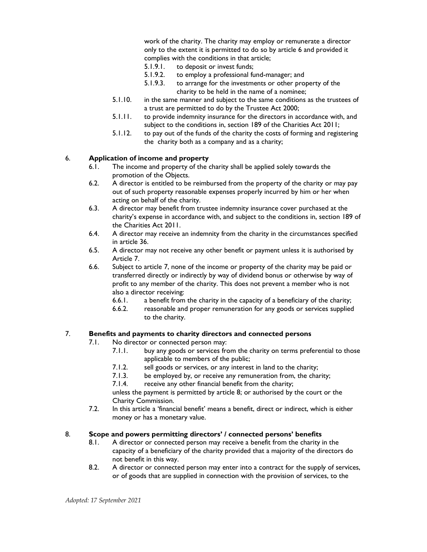work of the charity. The charity may employ or remunerate a director only to the extent it is permitted to do so by article 6 and provided it complies with the conditions in that article;

- 5.1.9.1. to deposit or invest funds;
- 5.1.9.2. to employ a professional fund-manager; and
- 5.1.9.3. to arrange for the investments or other property of the charity to be held in the name of a nominee;
- 5.1.10. in the same manner and subject to the same conditions as the trustees of a trust are permitted to do by the Trustee Act 2000;
- 5.1.11. to provide indemnity insurance for the directors in accordance with, and subject to the conditions in, section 189 of the Charities Act 2011;
- 5.1.12. to pay out of the funds of the charity the costs of forming and registering the charity both as a company and as a charity;

#### 6. Application of income and property

- 6.1. The income and property of the charity shall be applied solely towards the promotion of the Objects.
- 6.2. A director is entitled to be reimbursed from the property of the charity or may pay out of such property reasonable expenses properly incurred by him or her when acting on behalf of the charity.
- 6.3. A director may benefit from trustee indemnity insurance cover purchased at the charity's expense in accordance with, and subject to the conditions in, section 189 of the Charities Act 2011.
- 6.4. A director may receive an indemnity from the charity in the circumstances specified in article 36.
- 6.5. A director may not receive any other benefit or payment unless it is authorised by Article 7.
- 6.6. Subject to article 7, none of the income or property of the charity may be paid or transferred directly or indirectly by way of dividend bonus or otherwise by way of profit to any member of the charity. This does not prevent a member who is not also a director receiving:
	- 6.6.1. a benefit from the charity in the capacity of a beneficiary of the charity;
	- 6.6.2. reasonable and proper remuneration for any goods or services supplied to the charity.

# 7. Benefits and payments to charity directors and connected persons

7.1. No director or connected person may:

- 7.1.1. buy any goods or services from the charity on terms preferential to those applicable to members of the public;
- 7.1.2. sell goods or services, or any interest in land to the charity;
- 7.1.3. be employed by, or receive any remuneration from, the charity;
- 7.1.4. receive any other financial benefit from the charity;

unless the payment is permitted by article 8; or authorised by the court or the Charity Commission.

7.2. In this article a 'financial benefit' means a benefit, direct or indirect, which is either money or has a monetary value.

# 8. Scope and powers permitting directors' / connected persons' benefits

- 8.1. A director or connected person may receive a benefit from the charity in the capacity of a beneficiary of the charity provided that a majority of the directors do not benefit in this way.
- 8.2. A director or connected person may enter into a contract for the supply of services, or of goods that are supplied in connection with the provision of services, to the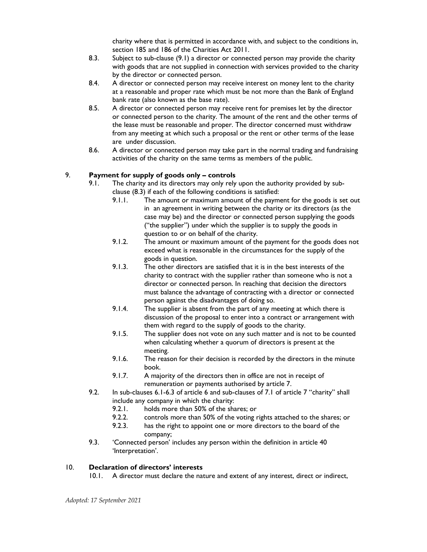charity where that is permitted in accordance with, and subject to the conditions in, section 185 and 186 of the Charities Act 2011.

- 8.3. Subject to sub-clause (9.1) a director or connected person may provide the charity with goods that are not supplied in connection with services provided to the charity by the director or connected person.
- 8.4. A director or connected person may receive interest on money lent to the charity at a reasonable and proper rate which must be not more than the Bank of England bank rate (also known as the base rate).
- 8.5. A director or connected person may receive rent for premises let by the director or connected person to the charity. The amount of the rent and the other terms of the lease must be reasonable and proper. The director concerned must withdraw from any meeting at which such a proposal or the rent or other terms of the lease are under discussion.
- 8.6. A director or connected person may take part in the normal trading and fundraising activities of the charity on the same terms as members of the public.

# 9. Payment for supply of goods only – controls

- 9.1. The charity and its directors may only rely upon the authority provided by subclause (8.3) if each of the following conditions is satisfied:
	- 9.1.1. The amount or maximum amount of the payment for the goods is set out in an agreement in writing between the charity or its directors (as the case may be) and the director or connected person supplying the goods ("the supplier") under which the supplier is to supply the goods in question to or on behalf of the charity.
	- 9.1.2. The amount or maximum amount of the payment for the goods does not exceed what is reasonable in the circumstances for the supply of the goods in question.
	- 9.1.3. The other directors are satisfied that it is in the best interests of the charity to contract with the supplier rather than someone who is not a director or connected person. In reaching that decision the directors must balance the advantage of contracting with a director or connected person against the disadvantages of doing so.
	- 9.1.4. The supplier is absent from the part of any meeting at which there is discussion of the proposal to enter into a contract or arrangement with them with regard to the supply of goods to the charity.
	- 9.1.5. The supplier does not vote on any such matter and is not to be counted when calculating whether a quorum of directors is present at the meeting.
	- 9.1.6. The reason for their decision is recorded by the directors in the minute book.
	- 9.1.7. A majority of the directors then in office are not in receipt of remuneration or payments authorised by article 7.
- 9.2. In sub-clauses 6.1-6.3 of article 6 and sub-clauses of 7.1 of article 7 "charity" shall include any company in which the charity:
	- 9.2.1. holds more than 50% of the shares; or
	- 9.2.2. controls more than 50% of the voting rights attached to the shares; or
	- 9.2.3. has the right to appoint one or more directors to the board of the company;
- 9.3. 'Connected person' includes any person within the definition in article 40 'Interpretation'.

# 10. Declaration of directors' interests

10.1. A director must declare the nature and extent of any interest, direct or indirect,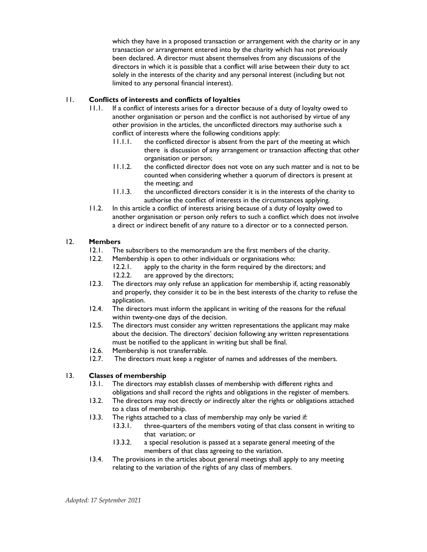which they have in a proposed transaction or arrangement with the charity or in any transaction or arrangement entered into by the charity which has not previously been declared. A director must absent themselves from any discussions of the directors in which it is possible that a conflict will arise between their duty to act solely in the interests of the charity and any personal interest (including but not limited to any personal financial interest).

# 11. Conflicts of interests and conflicts of loyalties

- 11.1. If a conflict of interests arises for a director because of a duty of loyalty owed to another organisation or person and the conflict is not authorised by virtue of any other provision in the articles, the unconflicted directors may authorise such a conflict of interests where the following conditions apply:
	- 11.1.1. the conflicted director is absent from the part of the meeting at which there is discussion of any arrangement or transaction affecting that other organisation or person;
	- 11.1.2. the conflicted director does not vote on any such matter and is not to be counted when considering whether a quorum of directors is present at the meeting; and
	- 11.1.3. the unconflicted directors consider it is in the interests of the charity to authorise the conflict of interests in the circumstances applying.
- 11.2. In this article a conflict of interests arising because of a duty of loyalty owed to another organisation or person only refers to such a conflict which does not involve a direct or indirect benefit of any nature to a director or to a connected person.

# 12. Members

- 12.1. The subscribers to the memorandum are the first members of the charity.
- 12.2. Membership is open to other individuals or organisations who:
	- 12.2.1. apply to the charity in the form required by the directors; and 12.2.2. are approved by the directors;
- 12.3. The directors may only refuse an application for membership if, acting reasonably and properly, they consider it to be in the best interests of the charity to refuse the application.
- 12.4. The directors must inform the applicant in writing of the reasons for the refusal within twenty-one days of the decision.
- 12.5. The directors must consider any written representations the applicant may make about the decision. The directors' decision following any written representations must be notified to the applicant in writing but shall be final.
- 12.6. Membership is not transferrable.
- 12.7. The directors must keep a register of names and addresses of the members.

# 13. Classes of membership

- 13.1. The directors may establish classes of membership with different rights and obligations and shall record the rights and obligations in the register of members.
- 13.2. The directors may not directly or indirectly alter the rights or obligations attached to a class of membership.
- 13.3. The rights attached to a class of membership may only be varied if:
	- 13.3.1. three-quarters of the members voting of that class consent in writing to that variation; or
	- 13.3.2. a special resolution is passed at a separate general meeting of the members of that class agreeing to the variation.
- 13.4. The provisions in the articles about general meetings shall apply to any meeting relating to the variation of the rights of any class of members.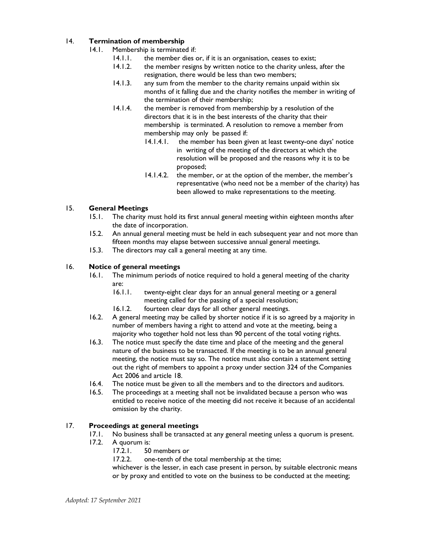# 14. Termination of membership

- 14.1. Membership is terminated if:
	- 14.1.1. the member dies or, if it is an organisation, ceases to exist;
	- 14.1.2. the member resigns by written notice to the charity unless, after the resignation, there would be less than two members;
	- 14.1.3. any sum from the member to the charity remains unpaid within six months of it falling due and the charity notifies the member in writing of the termination of their membership;
	- 14.1.4. the member is removed from membership by a resolution of the directors that it is in the best interests of the charity that their membership is terminated. A resolution to remove a member from membership may only be passed if:
		- 14.1.4.1. the member has been given at least twenty-one days' notice in writing of the meeting of the directors at which the resolution will be proposed and the reasons why it is to be proposed;
		- 14.1.4.2. the member, or at the option of the member, the member's representative (who need not be a member of the charity) has been allowed to make representations to the meeting.

# 15. General Meetings

- 15.1. The charity must hold its first annual general meeting within eighteen months after the date of incorporation.
- 15.2. An annual general meeting must be held in each subsequent year and not more than fifteen months may elapse between successive annual general meetings.
- 15.3. The directors may call a general meeting at any time.

# 16. Notice of general meetings

- 16.1. The minimum periods of notice required to hold a general meeting of the charity are:<br>16.1.1.
	- twenty-eight clear days for an annual general meeting or a general meeting called for the passing of a special resolution;
	- 16.1.2. fourteen clear days for all other general meetings.
- 16.2. A general meeting may be called by shorter notice if it is so agreed by a majority in number of members having a right to attend and vote at the meeting, being a majority who together hold not less than 90 percent of the total voting rights.
- 16.3. The notice must specify the date time and place of the meeting and the general nature of the business to be transacted. If the meeting is to be an annual general meeting, the notice must say so. The notice must also contain a statement setting out the right of members to appoint a proxy under section 324 of the Companies Act 2006 and article 18.
- 16.4. The notice must be given to all the members and to the directors and auditors.
- 16.5. The proceedings at a meeting shall not be invalidated because a person who was entitled to receive notice of the meeting did not receive it because of an accidental omission by the charity.

# 17. Proceedings at general meetings

- 17.1. No business shall be transacted at any general meeting unless a quorum is present.
- 17.2. A quorum is:
	- 17.2.1. 50 members or

17.2.2. one-tenth of the total membership at the time;

whichever is the lesser, in each case present in person, by suitable electronic means or by proxy and entitled to vote on the business to be conducted at the meeting;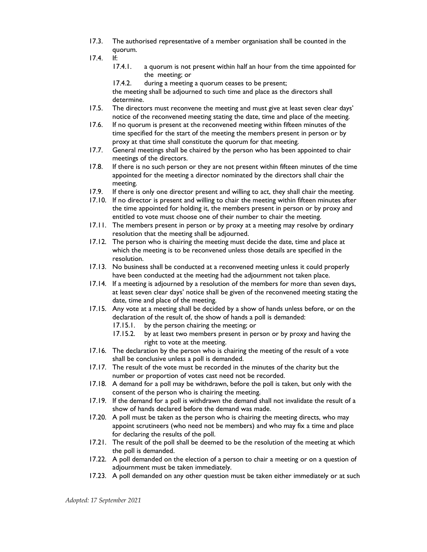- 17.3. The authorised representative of a member organisation shall be counted in the quorum.
- 17.4. If:
	- 17.4.1. a quorum is not present within half an hour from the time appointed for the meeting; or

17.4.2. during a meeting a quorum ceases to be present; the meeting shall be adjourned to such time and place as the directors shall determine.

- 17.5. The directors must reconvene the meeting and must give at least seven clear days' notice of the reconvened meeting stating the date, time and place of the meeting.
- 17.6. If no quorum is present at the reconvened meeting within fifteen minutes of the time specified for the start of the meeting the members present in person or by proxy at that time shall constitute the quorum for that meeting.
- 17.7. General meetings shall be chaired by the person who has been appointed to chair meetings of the directors.
- 17.8. If there is no such person or they are not present within fifteen minutes of the time appointed for the meeting a director nominated by the directors shall chair the meeting.
- 17.9. If there is only one director present and willing to act, they shall chair the meeting.
- 17.10. If no director is present and willing to chair the meeting within fifteen minutes after the time appointed for holding it, the members present in person or by proxy and entitled to vote must choose one of their number to chair the meeting.
- 17.11. The members present in person or by proxy at a meeting may resolve by ordinary resolution that the meeting shall be adjourned.
- 17.12. The person who is chairing the meeting must decide the date, time and place at which the meeting is to be reconvened unless those details are specified in the resolution.
- 17.13. No business shall be conducted at a reconvened meeting unless it could properly have been conducted at the meeting had the adjournment not taken place.
- 17.14. If a meeting is adjourned by a resolution of the members for more than seven days, at least seven clear days' notice shall be given of the reconvened meeting stating the date, time and place of the meeting.
- 17.15. Any vote at a meeting shall be decided by a show of hands unless before, or on the declaration of the result of, the show of hands a poll is demanded:
	- 17.15.1. by the person chairing the meeting; or
	- 17.15.2. by at least two members present in person or by proxy and having the right to vote at the meeting.
- 17.16. The declaration by the person who is chairing the meeting of the result of a vote shall be conclusive unless a poll is demanded.
- 17.17. The result of the vote must be recorded in the minutes of the charity but the number or proportion of votes cast need not be recorded.
- 17.18. A demand for a poll may be withdrawn, before the poll is taken, but only with the consent of the person who is chairing the meeting.
- 17.19. If the demand for a poll is withdrawn the demand shall not invalidate the result of a show of hands declared before the demand was made.
- 17.20. A poll must be taken as the person who is chairing the meeting directs, who may appoint scrutineers (who need not be members) and who may fix a time and place for declaring the results of the poll.
- 17.21. The result of the poll shall be deemed to be the resolution of the meeting at which the poll is demanded.
- 17.22. A poll demanded on the election of a person to chair a meeting or on a question of adjournment must be taken immediately.
- 17.23. A poll demanded on any other question must be taken either immediately or at such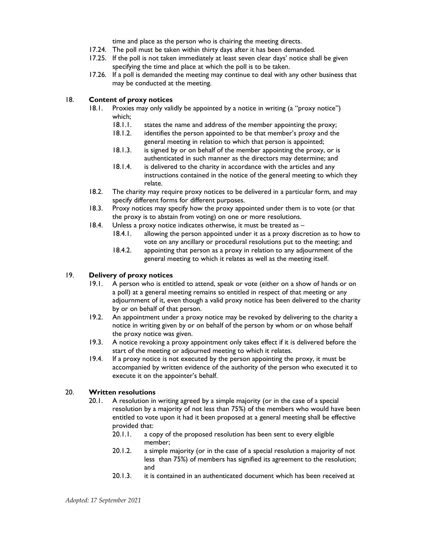time and place as the person who is chairing the meeting directs.

- 17.24. The poll must be taken within thirty days after it has been demanded.
- 17.25. If the poll is not taken immediately at least seven clear days' notice shall be given specifying the time and place at which the poll is to be taken.
- 17.26. If a poll is demanded the meeting may continue to deal with any other business that may be conducted at the meeting.

# 18. Content of proxy notices

- 18.1. Proxies may only validly be appointed by a notice in writing (a "proxy notice") which;
	- 18.1.1. states the name and address of the member appointing the proxy;
	- 18.1.2. identifies the person appointed to be that member's proxy and the general meeting in relation to which that person is appointed;
	- 18.1.3. is signed by or on behalf of the member appointing the proxy, or is authenticated in such manner as the directors may determine; and
	- 18.1.4. is delivered to the charity in accordance with the articles and any instructions contained in the notice of the general meeting to which they relate.
- 18.2. The charity may require proxy notices to be delivered in a particular form, and may specify different forms for different purposes.
- 18.3. Proxy notices may specify how the proxy appointed under them is to vote (or that the proxy is to abstain from voting) on one or more resolutions.
- 18.4. Unless a proxy notice indicates otherwise, it must be treated as
	- 18.4.1. allowing the person appointed under it as a proxy discretion as to how to vote on any ancillary or procedural resolutions put to the meeting; and
	- 18.4.2. appointing that person as a proxy in relation to any adjournment of the general meeting to which it relates as well as the meeting itself.

# 19. Delivery of proxy notices

- 19.1. A person who is entitled to attend, speak or vote (either on a show of hands or on a poll) at a general meeting remains so entitled in respect of that meeting or any adjournment of it, even though a valid proxy notice has been delivered to the charity by or on behalf of that person.
- 19.2. An appointment under a proxy notice may be revoked by delivering to the charity a notice in writing given by or on behalf of the person by whom or on whose behalf the proxy notice was given.
- 19.3. A notice revoking a proxy appointment only takes effect if it is delivered before the start of the meeting or adjourned meeting to which it relates.
- 19.4. If a proxy notice is not executed by the person appointing the proxy, it must be accompanied by written evidence of the authority of the person who executed it to execute it on the appointer's behalf.

# 20. Written resolutions

- 20.1. A resolution in writing agreed by a simple majority (or in the case of a special resolution by a majority of not less than 75%) of the members who would have been entitled to vote upon it had it been proposed at a general meeting shall be effective provided that:
	- 20.1.1. a copy of the proposed resolution has been sent to every eligible member;
	- 20.1.2. a simple majority (or in the case of a special resolution a majority of not less than 75%) of members has signified its agreement to the resolution; and
	- 20.1.3. it is contained in an authenticated document which has been received at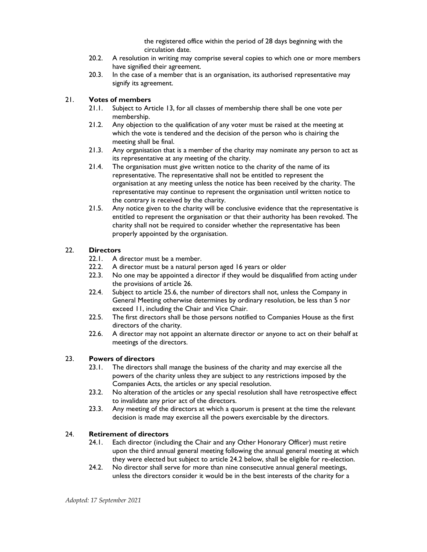the registered office within the period of 28 days beginning with the circulation date.

- 20.2. A resolution in writing may comprise several copies to which one or more members have signified their agreement.
- 20.3. In the case of a member that is an organisation, its authorised representative may signify its agreement.

# 21. Votes of members

- 21.1. Subject to Article 13, for all classes of membership there shall be one vote per membership.
- 21.2. Any objection to the qualification of any voter must be raised at the meeting at which the vote is tendered and the decision of the person who is chairing the meeting shall be final.
- 21.3. Any organisation that is a member of the charity may nominate any person to act as its representative at any meeting of the charity.
- 21.4. The organisation must give written notice to the charity of the name of its representative. The representative shall not be entitled to represent the organisation at any meeting unless the notice has been received by the charity. The representative may continue to represent the organisation until written notice to the contrary is received by the charity.
- 21.5. Any notice given to the charity will be conclusive evidence that the representative is entitled to represent the organisation or that their authority has been revoked. The charity shall not be required to consider whether the representative has been properly appointed by the organisation.

#### 22. Directors

- 22.1. A director must be a member.
- 22.2. A director must be a natural person aged 16 years or older
- 22.3. No one may be appointed a director if they would be disqualified from acting under the provisions of article 26.
- 22.4. Subject to article 25.6, the number of directors shall not, unless the Company in General Meeting otherwise determines by ordinary resolution, be less than 5 nor exceed 11, including the Chair and Vice Chair.
- 22.5. The first directors shall be those persons notified to Companies House as the first directors of the charity.
- 22.6. A director may not appoint an alternate director or anyone to act on their behalf at meetings of the directors.

#### 23. Powers of directors

- 23.1. The directors shall manage the business of the charity and may exercise all the powers of the charity unless they are subject to any restrictions imposed by the Companies Acts, the articles or any special resolution.
- 23.2. No alteration of the articles or any special resolution shall have retrospective effect to invalidate any prior act of the directors.
- 23.3. Any meeting of the directors at which a quorum is present at the time the relevant decision is made may exercise all the powers exercisable by the directors.

#### 24. Retirement of directors

- 24.1. Each director (including the Chair and any Other Honorary Officer) must retire upon the third annual general meeting following the annual general meeting at which they were elected but subject to article 24.2 below, shall be eligible for re-election.
- 24.2. No director shall serve for more than nine consecutive annual general meetings, unless the directors consider it would be in the best interests of the charity for a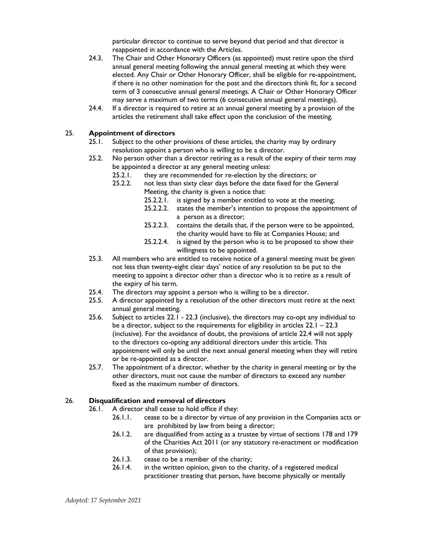particular director to continue to serve beyond that period and that director is reappointed in accordance with the Articles.

- 24.3. The Chair and Other Honorary Officers (as appointed) must retire upon the third annual general meeting following the annual general meeting at which they were elected. Any Chair or Other Honorary Officer, shall be eligible for re-appointment, if there is no other nomination for the post and the directors think fit, for a second term of 3 consecutive annual general meetings. A Chair or Other Honorary Officer may serve a maximum of two terms (6 consecutive annual general meetings).
- 24.4. If a director is required to retire at an annual general meeting by a provision of the articles the retirement shall take effect upon the conclusion of the meeting.

#### 25. Appointment of directors

- 25.1. Subject to the other provisions of these articles, the charity may by ordinary resolution appoint a person who is willing to be a director.
- 25.2. No person other than a director retiring as a result of the expiry of their term may be appointed a director at any general meeting unless:
	- 25.2.1. they are recommended for re-election by the directors; or
	- 25.2.2. not less than sixty clear days before the date fixed for the General Meeting, the charity is given a notice that:
		- 25.2.2.1. is signed by a member entitled to vote at the meeting;
		- 25.2.2.2. states the member's intention to propose the appointment of a person as a director;
		- 25.2.2.3. contains the details that, if the person were to be appointed, the charity would have to file at Companies House; and
		- 25.2.2.4. is signed by the person who is to be proposed to show their willingness to be appointed.
- 25.3. All members who are entitled to receive notice of a general meeting must be given not less than twenty-eight clear days' notice of any resolution to be put to the meeting to appoint a director other than a director who is to retire as a result of the expiry of his term.
- 25.4. The directors may appoint a person who is willing to be a director.
- 25.5. A director appointed by a resolution of the other directors must retire at the next annual general meeting.
- 25.6. Subject to articles 22.1 22.3 (inclusive), the directors may co-opt any individual to be a director, subject to the requirements for eligibility in articles  $22.1 - 22.3$ (inclusive). For the avoidance of doubt, the provisions of article 22.4 will not apply to the directors co-opting any additional directors under this article. This appointment will only be until the next annual general meeting when they will retire or be re-appointed as a director.
- 25.7. The appointment of a director, whether by the charity in general meeting or by the other directors, must not cause the number of directors to exceed any number fixed as the maximum number of directors.

# 26. Disqualification and removal of directors

- 26.1. A director shall cease to hold office if they:
	- 26.1.1. cease to be a director by virtue of any provision in the Companies acts or are prohibited by law from being a director;
	- 26.1.2. are disqualified from acting as a trustee by virtue of sections 178 and 179 of the Charities Act 2011 (or any statutory re-enactment or modification of that provision);
	- 26.1.3. cease to be a member of the charity;
	- 26.1.4. in the written opinion, given to the charity, of a registered medical practitioner treating that person, have become physically or mentally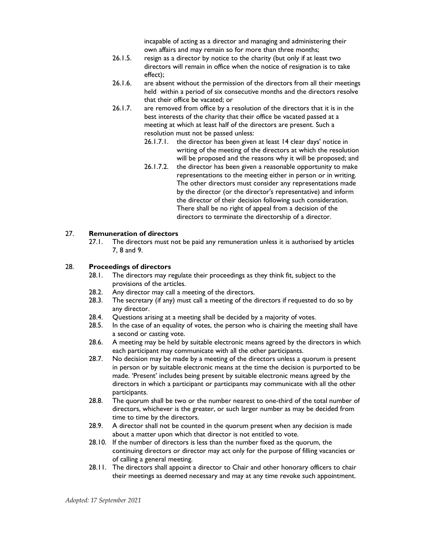incapable of acting as a director and managing and administering their own affairs and may remain so for more than three months;

- 26.1.5. resign as a director by notice to the charity (but only if at least two directors will remain in office when the notice of resignation is to take effect);
- 26.1.6. are absent without the permission of the directors from all their meetings held within a period of six consecutive months and the directors resolve that their office be vacated; or
- 26.1.7. are removed from office by a resolution of the directors that it is in the best interests of the charity that their office be vacated passed at a meeting at which at least half of the directors are present. Such a resolution must not be passed unless:
	- 26.1.7.1. the director has been given at least 14 clear days' notice in writing of the meeting of the directors at which the resolution will be proposed and the reasons why it will be proposed; and
	- 26.1.7.2. the director has been given a reasonable opportunity to make representations to the meeting either in person or in writing. The other directors must consider any representations made by the director (or the director's representative) and inform the director of their decision following such consideration. There shall be no right of appeal from a decision of the directors to terminate the directorship of a director.

#### 27. Remuneration of directors

27.1. The directors must not be paid any remuneration unless it is authorised by articles 7, 8 and 9.

#### 28. Proceedings of directors

- 28.1. The directors may regulate their proceedings as they think fit, subject to the provisions of the articles.
- 28.2. Any director may call a meeting of the directors.
- 28.3. The secretary (if any) must call a meeting of the directors if requested to do so by any director.
- 28.4. Questions arising at a meeting shall be decided by a majority of votes.
- 28.5. In the case of an equality of votes, the person who is chairing the meeting shall have a second or casting vote.
- 28.6. A meeting may be held by suitable electronic means agreed by the directors in which each participant may communicate with all the other participants.
- 28.7. No decision may be made by a meeting of the directors unless a quorum is present in person or by suitable electronic means at the time the decision is purported to be made. 'Present' includes being present by suitable electronic means agreed by the directors in which a participant or participants may communicate with all the other participants.
- 28.8. The quorum shall be two or the number nearest to one-third of the total number of directors, whichever is the greater, or such larger number as may be decided from time to time by the directors.
- 28.9. A director shall not be counted in the quorum present when any decision is made about a matter upon which that director is not entitled to vote.
- 28.10. If the number of directors is less than the number fixed as the quorum, the continuing directors or director may act only for the purpose of filling vacancies or of calling a general meeting.
- 28.11. The directors shall appoint a director to Chair and other honorary officers to chair their meetings as deemed necessary and may at any time revoke such appointment.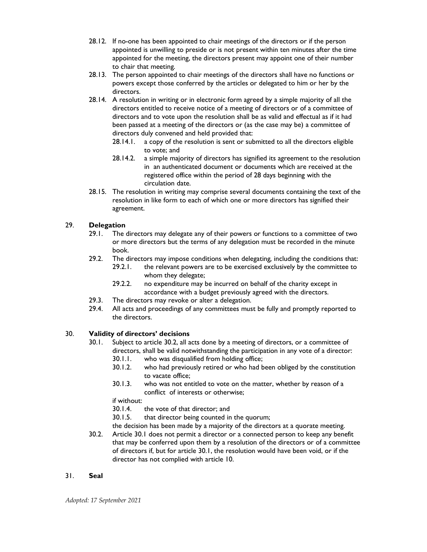- 28.12. If no-one has been appointed to chair meetings of the directors or if the person appointed is unwilling to preside or is not present within ten minutes after the time appointed for the meeting, the directors present may appoint one of their number to chair that meeting.
- 28.13. The person appointed to chair meetings of the directors shall have no functions or powers except those conferred by the articles or delegated to him or her by the directors.
- 28.14. A resolution in writing or in electronic form agreed by a simple majority of all the directors entitled to receive notice of a meeting of directors or of a committee of directors and to vote upon the resolution shall be as valid and effectual as if it had been passed at a meeting of the directors or (as the case may be) a committee of directors duly convened and held provided that:
	- 28.14.1. a copy of the resolution is sent or submitted to all the directors eligible to vote; and
	- 28.14.2. a simple majority of directors has signified its agreement to the resolution in an authenticated document or documents which are received at the registered office within the period of 28 days beginning with the circulation date.
- 28.15. The resolution in writing may comprise several documents containing the text of the resolution in like form to each of which one or more directors has signified their agreement.

# 29. Delegation

- 29.1. The directors may delegate any of their powers or functions to a committee of two or more directors but the terms of any delegation must be recorded in the minute book.
- 29.2. The directors may impose conditions when delegating, including the conditions that: 29.2.1. the relevant powers are to be exercised exclusively by the committee to whom they delegate;
	- 29.2.2. no expenditure may be incurred on behalf of the charity except in accordance with a budget previously agreed with the directors.
- 29.3. The directors may revoke or alter a delegation.
- 29.4. All acts and proceedings of any committees must be fully and promptly reported to the directors.

# 30. Validity of directors' decisions

- 30.1. Subject to article 30.2, all acts done by a meeting of directors, or a committee of directors, shall be valid notwithstanding the participation in any vote of a director:
	- 30.1.1. who was disqualified from holding office;
	- 30.1.2. who had previously retired or who had been obliged by the constitution to vacate office;
	- 30.1.3. who was not entitled to vote on the matter, whether by reason of a conflict of interests or otherwise;

if without:

- 30.1.4. the vote of that director; and
- 30.1.5. that director being counted in the quorum;
- the decision has been made by a majority of the directors at a quorate meeting.
- 30.2. Article 30.1 does not permit a director or a connected person to keep any benefit that may be conferred upon them by a resolution of the directors or of a committee of directors if, but for article 30.1, the resolution would have been void, or if the director has not complied with article 10.

# 31. Seal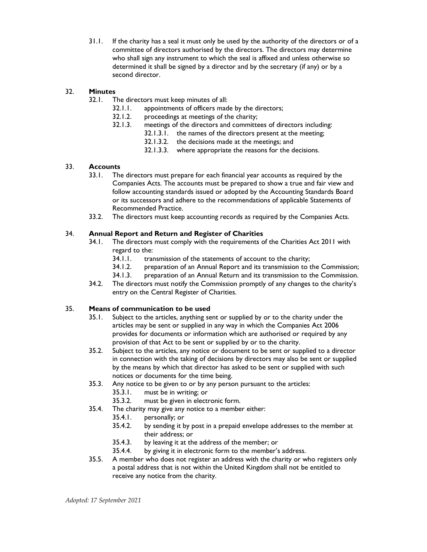31.1. If the charity has a seal it must only be used by the authority of the directors or of a committee of directors authorised by the directors. The directors may determine who shall sign any instrument to which the seal is affixed and unless otherwise so determined it shall be signed by a director and by the secretary (if any) or by a second director.

# 32. Minutes

32.1. The directors must keep minutes of all:

- 32.1.1. appointments of officers made by the directors;
- 32.1.2. proceedings at meetings of the charity;
- 32.1.3. meetings of the directors and committees of directors including:
	- 32.1.3.1. the names of the directors present at the meeting;
		- 32.1.3.2. the decisions made at the meetings; and
		- 32.1.3.3. where appropriate the reasons for the decisions.

# 33. Accounts

- 33.1. The directors must prepare for each financial year accounts as required by the Companies Acts. The accounts must be prepared to show a true and fair view and follow accounting standards issued or adopted by the Accounting Standards Board or its successors and adhere to the recommendations of applicable Statements of Recommended Practice.
- 33.2. The directors must keep accounting records as required by the Companies Acts.

# 34. Annual Report and Return and Register of Charities

- 34.1. The directors must comply with the requirements of the Charities Act 2011 with regard to the:
	- 34.1.1. transmission of the statements of account to the charity;<br>34.1.2. preparation of an Annual Report and its transmission to t
	- preparation of an Annual Report and its transmission to the Commission;
	- 34.1.3. preparation of an Annual Return and its transmission to the Commission.
- 34.2. The directors must notify the Commission promptly of any changes to the charity's entry on the Central Register of Charities.

# 35. Means of communication to be used

- 35.1. Subject to the articles, anything sent or supplied by or to the charity under the articles may be sent or supplied in any way in which the Companies Act 2006 provides for documents or information which are authorised or required by any provision of that Act to be sent or supplied by or to the charity.
- 35.2. Subject to the articles, any notice or document to be sent or supplied to a director in connection with the taking of decisions by directors may also be sent or supplied by the means by which that director has asked to be sent or supplied with such notices or documents for the time being.
- 35.3. Any notice to be given to or by any person pursuant to the articles:
	- 35.3.1. must be in writing; or
	- 35.3.2. must be given in electronic form.
- 35.4. The charity may give any notice to a member either:
	- 35.4.1. personally; or
	- 35.4.2. by sending it by post in a prepaid envelope addresses to the member at their address; or
	- 35.4.3. by leaving it at the address of the member; or
	- 35.4.4. by giving it in electronic form to the member's address.
- 35.5. A member who does not register an address with the charity or who registers only a postal address that is not within the United Kingdom shall not be entitled to receive any notice from the charity.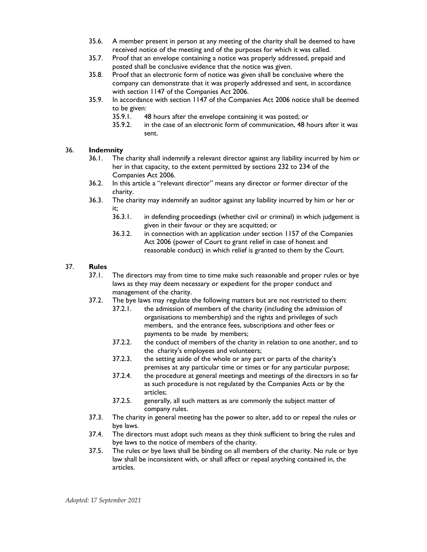- 35.6. A member present in person at any meeting of the charity shall be deemed to have received notice of the meeting and of the purposes for which it was called.
- 35.7. Proof that an envelope containing a notice was properly addressed, prepaid and posted shall be conclusive evidence that the notice was given.
- 35.8. Proof that an electronic form of notice was given shall be conclusive where the company can demonstrate that it was properly addressed and sent, in accordance with section 1147 of the Companies Act 2006.
- 35.9. In accordance with section 1147 of the Companies Act 2006 notice shall be deemed to be given:
	- 35.9.1. 48 hours after the envelope containing it was posted; or
	- 35.9.2. in the case of an electronic form of communication, 48 hours after it was sent.

# 36. Indemnity

- 36.1. The charity shall indemnify a relevant director against any liability incurred by him or her in that capacity, to the extent permitted by sections 232 to 234 of the Companies Act 2006.
- 36.2. In this article a "relevant director" means any director or former director of the charity.
- 36.3. The charity may indemnify an auditor against any liability incurred by him or her or it;
	- 36.3.1. in defending proceedings (whether civil or criminal) in which judgement is given in their favour or they are acquitted; or
	- 36.3.2. in connection with an application under section 1157 of the Companies Act 2006 (power of Court to grant relief in case of honest and reasonable conduct) in which relief is granted to them by the Court.

# 37. Rules

- 37.1. The directors may from time to time make such reasonable and proper rules or bye laws as they may deem necessary or expedient for the proper conduct and management of the charity.
- 37.2. The bye laws may regulate the following matters but are not restricted to them:
	- 37.2.1. the admission of members of the charity (including the admission of organisations to membership) and the rights and privileges of such members, and the entrance fees, subscriptions and other fees or payments to be made by members;
	- 37.2.2. the conduct of members of the charity in relation to one another, and to the charity's employees and volunteers;
	- 37.2.3. the setting aside of the whole or any part or parts of the charity's premises at any particular time or times or for any particular purpose;
	- 37.2.4. the procedure at general meetings and meetings of the directors in so far as such procedure is not regulated by the Companies Acts or by the articles;
	- 37.2.5. generally, all such matters as are commonly the subject matter of company rules.
- 37.3. The charity in general meeting has the power to alter, add to or repeal the rules or bye laws.
- 37.4. The directors must adopt such means as they think sufficient to bring the rules and bye laws to the notice of members of the charity.
- 37.5. The rules or bye laws shall be binding on all members of the charity. No rule or bye law shall be inconsistent with, or shall affect or repeal anything contained in, the articles.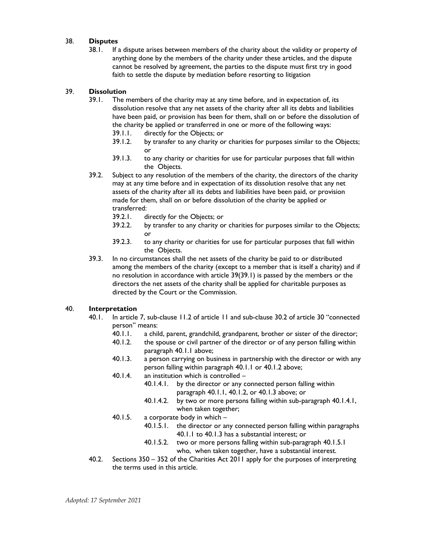### 38. Disputes

38.1. If a dispute arises between members of the charity about the validity or property of anything done by the members of the charity under these articles, and the dispute cannot be resolved by agreement, the parties to the dispute must first try in good faith to settle the dispute by mediation before resorting to litigation

### 39. Dissolution

- 39.1. The members of the charity may at any time before, and in expectation of, its dissolution resolve that any net assets of the charity after all its debts and liabilities have been paid, or provision has been for them, shall on or before the dissolution of the charity be applied or transferred in one or more of the following ways:
	- 39.1.1. directly for the Objects; or
	- 39.1.2. by transfer to any charity or charities for purposes similar to the Objects; or
	- 39.1.3. to any charity or charities for use for particular purposes that fall within the Objects.
- 39.2. Subject to any resolution of the members of the charity, the directors of the charity may at any time before and in expectation of its dissolution resolve that any net assets of the charity after all its debts and liabilities have been paid, or provision made for them, shall on or before dissolution of the charity be applied or transferred:<br>39.2.1. d
	- directly for the Objects; or
	- 39.2.2. by transfer to any charity or charities for purposes similar to the Objects; or
	- 39.2.3. to any charity or charities for use for particular purposes that fall within the Objects.
- 39.3. In no circumstances shall the net assets of the charity be paid to or distributed among the members of the charity (except to a member that is itself a charity) and if no resolution in accordance with article 39(39.1) is passed by the members or the directors the net assets of the charity shall be applied for charitable purposes as directed by the Court or the Commission.

# 40. Interpretation

- 40.1. In article 7, sub-clause 11.2 of article 11 and sub-clause 30.2 of article 30 "connected person" means:
	- 40.1.1. a child, parent, grandchild, grandparent, brother or sister of the director;
	- 40.1.2. the spouse or civil partner of the director or of any person falling within paragraph 40.1.1 above;
	- 40.1.3. a person carrying on business in partnership with the director or with any person falling within paragraph 40.1.1 or 40.1.2 above;
	- 40.1.4. an institution which is controlled
		- 40.1.4.1. by the director or any connected person falling within paragraph 40.1.1, 40.1.2, or 40.1.3 above; or
		- 40.1.4.2. by two or more persons falling within sub-paragraph 40.1.4.1, when taken together;
	- 40.1.5. a corporate body in which
		- 40.1.5.1. the director or any connected person falling within paragraphs 40.1.1 to 40.1.3 has a substantial interest; or
		- 40.1.5.2. two or more persons falling within sub-paragraph 40.1.5.1 who, when taken together, have a substantial interest.
- 40.2. Sections 350 352 of the Charities Act 2011 apply for the purposes of interpreting the terms used in this article.

Adopted: 17 September 2021